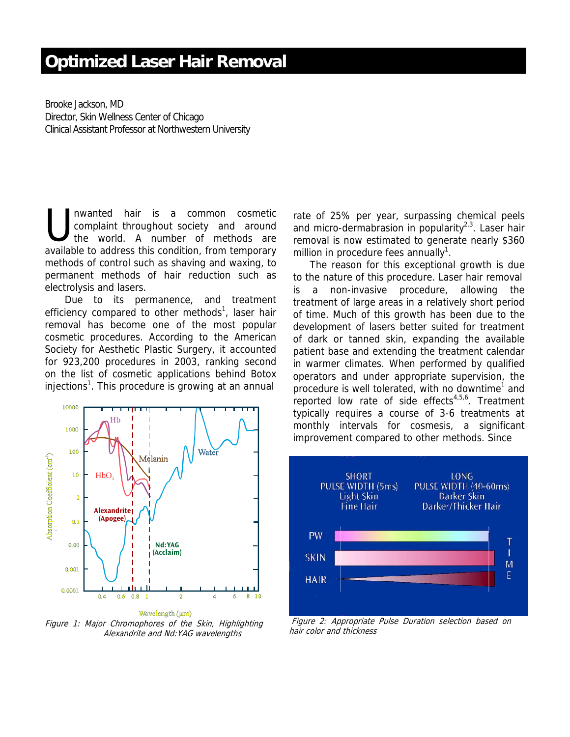# **Optimized Laser Hair Removal**

Brooke Jackson, MD Director, Skin Wellness Center of Chicago Clinical Assistant Professor at Northwestern University

nwanted hair is a common cosmetic complaint throughout society and around the world. A number of methods are available to address this condition, from temporary methods of control such as shaving and waxing, to permanent methods of hair reduction such as electrolysis and lasers.  $\bigcup_{\text{the}}^{\text{nw}}$ 

 Due to its permanence, and treatment efficiency compared to other methods<sup>1</sup>, laser hair removal has become one of the most popular cosmetic procedures. According to the American Society for Aesthetic Plastic Surgery, it accounted for 923,200 procedures in 2003, ranking second on the list of cosmetic applications behind Botox injections<sup>1</sup>. This procedure is growing at an annual



Figure 1: Major Chromophores of the Skin, Highlighting Alexandrite and Nd:YAG wavelengths

rate of 25% per year, surpassing chemical peels and micro-dermabrasion in popularity<sup>2,3</sup>. Laser hair removal is now estimated to generate nearly \$360 million in procedure fees annually<sup>1</sup>.

The reason for this exceptional growth is due to the nature of this procedure. Laser hair removal is a non-invasive procedure, allowing the treatment of large areas in a relatively short period of time. Much of this growth has been due to the development of lasers better suited for treatment of dark or tanned skin, expanding the available patient base and extending the treatment calendar in warmer climates. When performed by qualified operators and under appropriate supervision, the procedure is well tolerated, with no downtime<sup>1</sup> and reported low rate of side effects<sup>4,5,6</sup>. Treatment typically requires a course of 3-6 treatments at monthly intervals for cosmesis, a significant improvement compared to other methods. Since



 Figure 2: Appropriate Pulse Duration selection based on hair color and thickness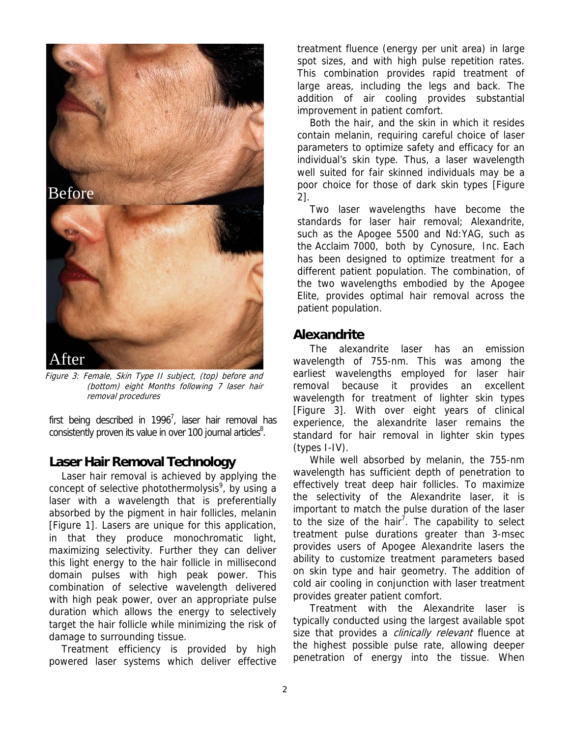

Figure 3: Female, Skin Type II subject, (top) before and (bottom) eight Months following 7 laser hair removal procedures

first being described in 1996<sup>7</sup>, laser hair removal has consistently proven its value in over 100 journal articles<sup>8</sup>.

### **Laser Hair Removal Technology**

Laser hair removal is achieved by applying the concept of selective photothermolysis<sup>9</sup>, by using a laser with a wavelength that is preferentially absorbed by the pigment in hair follicles, melanin [Figure 1]. Lasers are unique for this application, in that they produce monochromatic light, maximizing selectivity. Further they can deliver this light energy to the hair follicle in millisecond domain pulses with high peak power. This combination of selective wavelength delivered with high peak power, over an appropriate pulse duration which allows the energy to selectively target the hair follicle while minimizing the risk of damage to surrounding tissue.

Treatment efficiency is provided by high powered laser systems which deliver effective

treatment fluence (energy per unit area) in large spot sizes, and with high pulse repetition rates. This combination provides rapid treatment of large areas, including the legs and back. The addition of air cooling provides substantial improvement in patient comfort.

Both the hair, and the skin in which it resides contain melanin, requiring careful choice of laser parameters to optimize safety and efficacy for an individual's skin type. Thus, a laser wavelength well suited for fair skinned individuals may be a poor choice for those of dark skin types [Figure 2].

Two laser wavelengths have become the standards for laser hair removal; Alexandrite, such as the Apogee 5500 and Nd:YAG, such as the Acclaim 7000, both by Cynosure, Inc. Each has been designed to optimize treatment for a different patient population. The combination, of the two wavelengths embodied by the Apogee Elite, provides optimal hair removal across the patient population.

# **Alexandrite**

The alexandrite laser has an emission wavelength of 755-nm. This was among the earliest wavelengths employed for laser hair removal because it provides an excellent wavelength for treatment of lighter skin types [Figure 3]. With over eight years of clinical experience, the alexandrite laser remains the standard for hair removal in lighter skin types (types I-IV).

While well absorbed by melanin, the 755-nm wavelength has sufficient depth of penetration to effectively treat deep hair follicles. To maximize the selectivity of the Alexandrite laser, it is important to match the pulse duration of the laser to the size of the hair<sup>7</sup>. The capability to select treatment pulse durations greater than 3-msec provides users of Apogee Alexandrite lasers the ability to customize treatment parameters based on skin type and hair geometry. The addition of cold air cooling in conjunction with laser treatment provides greater patient comfort.

Treatment with the Alexandrite laser is typically conducted using the largest available spot size that provides a *clinically relevant* fluence at the highest possible pulse rate, allowing deeper penetration of energy into the tissue. When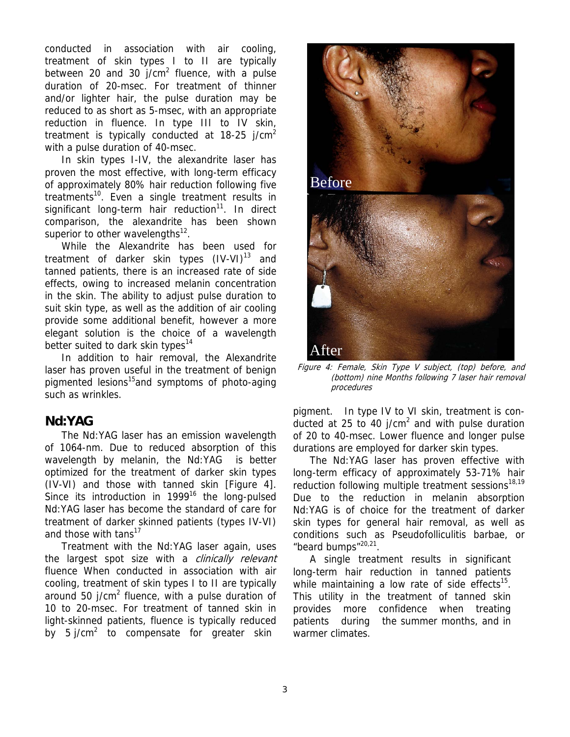conducted in association with air cooling, treatment of skin types I to II are typically between 20 and 30  $j/cm^2$  fluence, with a pulse duration of 20-msec. For treatment of thinner and/or lighter hair, the pulse duration may be reduced to as short as 5-msec, with an appropriate reduction in fluence. In type III to IV skin, treatment is typically conducted at  $18-25$  j/cm<sup>2</sup> with a pulse duration of 40-msec.

In skin types I-IV, the alexandrite laser has proven the most effective, with long-term efficacy of approximately 80% hair reduction following five treatments<sup>10</sup>. Even a single treatment results in significant long-term hair reduction<sup>11</sup>. In direct comparison, the alexandrite has been shown superior to other wavelengths $^{12}$ .

While the Alexandrite has been used for treatment of darker skin types  $(IV-VI)^{13}$  and tanned patients, there is an increased rate of side effects, owing to increased melanin concentration in the skin. The ability to adjust pulse duration to suit skin type, as well as the addition of air cooling provide some additional benefit, however a more elegant solution is the choice of a wavelength better suited to dark skin types<sup>14</sup>

In addition to hair removal, the Alexandrite laser has proven useful in the treatment of benign pigmented lesions<sup>15</sup> and symptoms of photo-aging such as wrinkles.

# **Nd:YAG**

The Nd:YAG laser has an emission wavelength of 1064-nm. Due to reduced absorption of this wavelength by melanin, the Nd:YAG is better optimized for the treatment of darker skin types (IV-VI) and those with tanned skin [Figure 4]. Since its introduction in  $1999^{16}$  the long-pulsed Nd:YAG laser has become the standard of care for treatment of darker skinned patients (types IV-VI) and those with tans $17$ 

Treatment with the Nd:YAG laser again, uses the largest spot size with a *clinically relevant* fluence When conducted in association with air cooling, treatment of skin types I to II are typically around 50  $j/cm<sup>2</sup>$  fluence, with a pulse duration of 10 to 20-msec. For treatment of tanned skin in light-skinned patients, fluence is typically reduced by 5 j/cm<sup>2</sup> to compensate for greater skin



Figure 4: Female, Skin Type V subject, (top) before, and (bottom) nine Months following 7 laser hair removal procedures

pigment. In type IV to VI skin, treatment is conducted at 25 to 40 j/cm<sup>2</sup> and with pulse duration of 20 to 40-msec. Lower fluence and longer pulse durations are employed for darker skin types.

The Nd:YAG laser has proven effective with long-term efficacy of approximately 53-71% hair reduction following multiple treatment sessions<sup>18,19</sup> Due to the reduction in melanin absorption Nd:YAG is of choice for the treatment of darker skin types for general hair removal, as well as conditions such as Pseudofolliculitis barbae, or "beard bumps"20,21.

A single treatment results in significant long-term hair reduction in tanned patients while maintaining a low rate of side effects $15$ . This utility in the treatment of tanned skin provides more confidence when treating patients during the summer months, and in warmer climates.